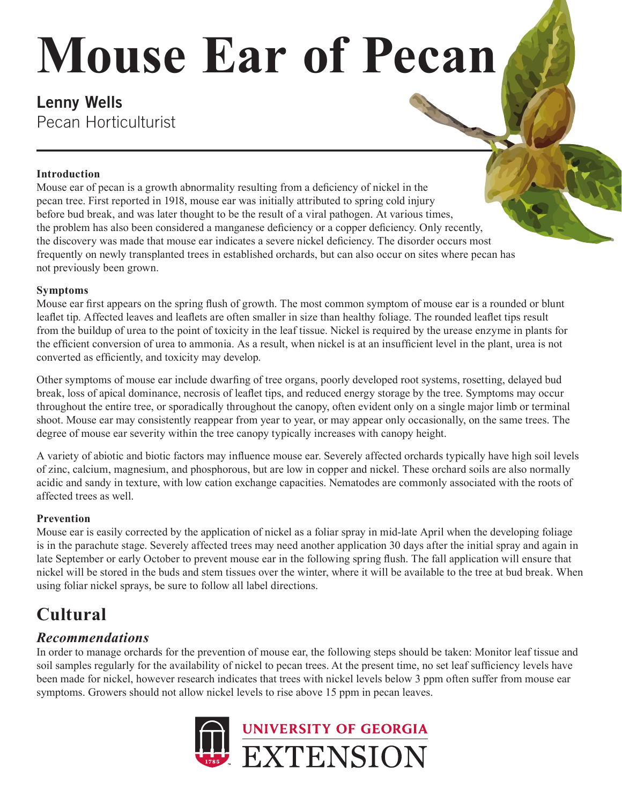# **Mouse Ear of Pecan**

# **Lenny Wells** Pecan Horticulturist

#### **Introduction**

Mouse ear of pecan is a growth abnormality resulting from a deficiency of nickel in the pecan tree. First reported in 1918, mouse ear was initially attributed to spring cold injury before bud break, and was later thought to be the result of a viral pathogen. At various times, the problem has also been considered a manganese deficiency or a copper deficiency. Only recently, the discovery was made that mouse ear indicates a severe nickel deficiency. The disorder occurs most frequently on newly transplanted trees in established orchards, but can also occur on sites where pecan has not previously been grown.

#### **Symptoms**

Mouse ear first appears on the spring flush of growth. The most common symptom of mouse ear is a rounded or blunt leaflet tip. Affected leaves and leaflets are often smaller in size than healthy foliage. The rounded leaflet tips result from the buildup of urea to the point of toxicity in the leaf tissue. Nickel is required by the urease enzyme in plants for the efficient conversion of urea to ammonia. As a result, when nickel is at an insufficient level in the plant, urea is not converted as efficiently, and toxicity may develop.

Other symptoms of mouse ear include dwarfing of tree organs, poorly developed root systems, rosetting, delayed bud break, loss of apical dominance, necrosis of leaflet tips, and reduced energy storage by the tree. Symptoms may occur throughout the entire tree, or sporadically throughout the canopy, often evident only on a single major limb or terminal shoot. Mouse ear may consistently reappear from year to year, or may appear only occasionally, on the same trees. The degree of mouse ear severity within the tree canopy typically increases with canopy height.

A variety of abiotic and biotic factors may influence mouse ear. Severely affected orchards typically have high soil levels of zinc, calcium, magnesium, and phosphorous, but are low in copper and nickel. These orchard soils are also normally acidic and sandy in texture, with low cation exchange capacities. Nematodes are commonly associated with the roots of affected trees as well.

#### **Prevention**

Mouse ear is easily corrected by the application of nickel as a foliar spray in mid-late April when the developing foliage is in the parachute stage. Severely affected trees may need another application 30 days after the initial spray and again in late September or early October to prevent mouse ear in the following spring flush. The fall application will ensure that nickel will be stored in the buds and stem tissues over the winter, where it will be available to the tree at bud break. When using foliar nickel sprays, be sure to follow all label directions.

# **Cultural**

### *Recommendations*

In order to manage orchards for the prevention of mouse ear, the following steps should be taken: Monitor leaf tissue and soil samples regularly for the availability of nickel to pecan trees. At the present time, no set leaf sufficiency levels have been made for nickel, however research indicates that trees with nickel levels below 3 ppm often suffer from mouse ear symptoms. Growers should not allow nickel levels to rise above 15 ppm in pecan leaves.